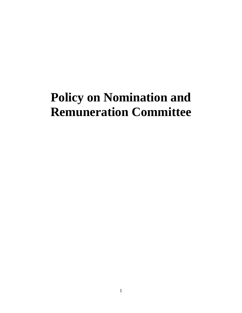# **Policy on Nomination and Remuneration Committee**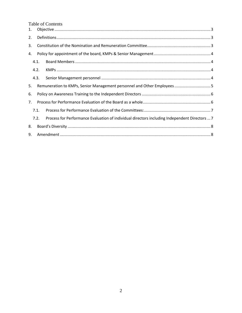**Table of Contents** 

| 1. |      |                                                                                               |  |  |  |  |  |  |  |  |
|----|------|-----------------------------------------------------------------------------------------------|--|--|--|--|--|--|--|--|
| 2. |      |                                                                                               |  |  |  |  |  |  |  |  |
| 3. |      |                                                                                               |  |  |  |  |  |  |  |  |
| 4. |      |                                                                                               |  |  |  |  |  |  |  |  |
|    | 4.1. |                                                                                               |  |  |  |  |  |  |  |  |
|    | 4.2. |                                                                                               |  |  |  |  |  |  |  |  |
|    | 4.3. |                                                                                               |  |  |  |  |  |  |  |  |
| 5. |      | Remuneration to KMPs, Senior Management personnel and Other Employees 5                       |  |  |  |  |  |  |  |  |
| 6. |      |                                                                                               |  |  |  |  |  |  |  |  |
| 7. |      |                                                                                               |  |  |  |  |  |  |  |  |
|    | 7.1. |                                                                                               |  |  |  |  |  |  |  |  |
|    | 7.2. | Process for Performance Evaluation of individual directors including Independent Directors  7 |  |  |  |  |  |  |  |  |
| 8. |      |                                                                                               |  |  |  |  |  |  |  |  |
| 9. |      |                                                                                               |  |  |  |  |  |  |  |  |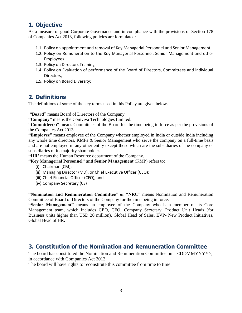# <span id="page-2-0"></span>**1. Objective**

As a measure of good Corporate Governance and in compliance with the provisions of Section 178 of Companies Act 2013, following policies are formulated:

- 1.1. Policy on appointment and removal of Key Managerial Personnel and Senior Management;
- 1.2. Policy on Remuneration to the Key Managerial Personnel, Senior Management and other Employees
- 1.3. Policy on Directors Training
- 1.4. Policy on Evaluation of performance of the Board of Directors, Committees and individual Directors,
- 1.5. Policy on Board Diversity;

# <span id="page-2-1"></span>**2. Definitions**

The definitions of some of the key terms used in this Policy are given below.

**"Board"** means Board of Directors of the Company.

**"Company"** means the Comviva Technologies Limited.

**"Committee(s)"** means Committees of the Board for the time being in force as per the provisions of the Companies Act 2013.

**"Employee"** means employee of the Company whether employed in India or outside India including any whole time directors, KMPs & Senior Management who serve the company on a full-time basis and are not employed in any other entity except those which are the subsidiaries of the company or subsidiaries of its majority shareholder.

**"HR'** means the Human Resource department of the Company.

#### **"Key Managerial Personnel" and Senior Management** (KMP) refers to:

- (i) Chairman (CM);
- (ii) Managing Director (MD), or Chief Executive Officer (CEO);
- (iii) Chief Financial Officer (CFO); and
- (iv) Company Secretary (CS)

**"Nomination and Remuneration Committee" or "NRC"** means Nomination and Remuneration Committee of Board of Directors of the Company for the time being in force.

**"Senior Management"** means an employee of the Company who is a member of its Core Management team, which includes CEO, CFO, Company Secretary, Product Unit Heads (for Business units higher than USD 20 million), Global Head of Sales, EVP- New Product Initiatives, Global Head of HR.

# <span id="page-2-2"></span>**3. Constitution of the Nomination and Remuneration Committee**

The board has constituted the Nomination and Remuneration Committee on <DDMMYYYY>, in accordance with Companies Act 2013.

The board will have rights to reconstitute this committee from time to time.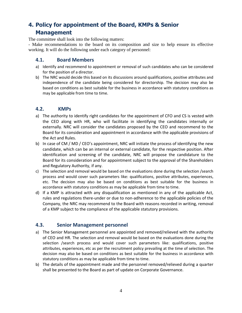# <span id="page-3-0"></span>**4. Policy for appointment of the Board, KMPs & Senior Management**

The committee shall look into the following matters:

- Make recommendations to the board on its composition and size to help ensure its effective working. It will do the following under each category of personnel:

# <span id="page-3-1"></span>**4.1. Board Members**

- a) Identify and recommend to appointment or removal of such candidates who can be considered for the position of a director.
- b) The NRC would decide this based on its discussions around qualifications, positive attributes and independence of the candidate being considered for directorship. The decision may also be based on conditions as best suitable for the business in accordance with statutory conditions as may be applicable from time to time.

## <span id="page-3-2"></span>**4.2. KMPs**

- a) The authority to identify right candidates for the appointment of CFO and CS is vested with the CEO along with HR, who will facilitate in identifying the candidates internally or externally. NRC will consider the candidates proposed by the CEO and recommend to the Board for its consideration and appointment in accordance with the applicable provisions of the Act and Rules.
- b) In case of CM / MD / CEO's appointment, NRC will initiate the process of identifying the new candidate, which can be an internal or external candidate, for the respective position. After identification and screening of the candidate, NRC will propose the candidature to the Board for its consideration and for appointment subject to the approval of the Shareholders and Regulatory Authority, if any.
- c) The selection and removal would be based on the evaluations done during the selection /search process and would cover such parameters like: qualifications, positive attributes, experiences, etc. The decision may also be based on conditions as best suitable for the business in accordance with statutory conditions as may be applicable from time to time.
- d) If a KMP is attracted with any disqualification as mentioned in any of the applicable Act, rules and regulations there-under or due to non-adherence to the applicable policies of the Company, the NRC may recommend to the Board with reasons recorded in writing, removal of a KMP subject to the compliance of the applicable statutory provisions.

# <span id="page-3-3"></span>**4.3. Senior Management personnel**

- a) The Senior Management personnel are appointed and removed/relieved with the authority of CEO and HR. The selection and removal would be based on the evaluations done during the selection /search process and would cover such parameters like: qualifications, positive attributes, experiences, etc as per the recruitment policy prevailing at the time of selection. The decision may also be based on conditions as best suitable for the business in accordance with statutory conditions as may be applicable from time to time.
- b) The details of the appointment made and the personnel removed/relieved during a quarter shall be presented to the Board as part of update on Corporate Governance.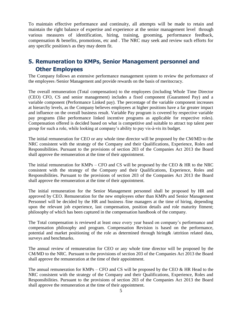To maintain effective performance and continuity, all attempts will be made to retain and maintain the right balance of expertise and experience at the senior management level through various measures of identification, hiring, training, grooming, performance feedback, compensation & benefits, promotions, etc and . The NRC may seek and review such efforts for any specific position/s as they may deem fit.

# <span id="page-4-0"></span>**5. Remuneration to KMPs, Senior Management personnel and Other Employees**

The Company follows an extensive performance management system to review the performance of the employees /Senior Management and provide rewards on the basis of meritocracy.

The overall remuneration (Total compensation) to the employees (including Whole Time Director (CEO) CFO, CS and senior management) includes a fixed component (Guaranteed Pay) and a variable component (Performance Linked pay). The percentage of the variable component increases at hierarchy levels, as the Company believes employees at higher positions have a far greater impact and influence on the overall business result. Variable Pay program is covered by respective variable pay programs (like performance linked incentive programs as applicable for respective roles). Compensation offered is decided based on what is competitive and suitable to attract top talent peer group for such a role, while looking at company's ability to pay vis-à-vis its budget.

The initial remuneration for CEO or any whole time director will be proposed by the CM/MD to the NRC consistent with the strategy of the Company and their Qualifications, Experience, Roles and Responsibilities. Pursuant to the provisions of section 203 of the Companies Act 2013 the Board shall approve the remuneration at the time of their appointment.

The initial remuneration for KMPs – CFO and CS will be proposed by the CEO  $\&$  HR to the NRC consistent with the strategy of the Company and their Qualifications, Experience, Roles and Responsibilities. Pursuant to the provisions of section 203 of the Companies Act 2013 the Board shall approve the remuneration at the time of their appointment.

The initial remuneration for the Senior Management personnel shall be proposed by HR and approved by CEO. Remuneration for the new employees other than KMPs and Senior Management Personnel will be decided by the HR and business /line managers at the time of hiring, depending upon the relevant job experience, last compensation, position details and role maturity fitment; philosophy of which has been captured in the compensation handbook of the company.

The Total compensation is reviewed at least once every year based on company's performance and compensation philosophy and program. Compensation Revision is based on the performance, potential and market positioning of the role as determined through hiring& /attrition related data, surveys and benchmarks.

The annual review of remuneration for CEO or any whole time director will be proposed by the CM/MD to the NRC. Pursuant to the provisions of section 203 of the Companies Act 2013 the Board shall approve the remuneration at the time of their appointment.

The annual remuneration for KMPs – CFO and CS will be proposed by the CEO  $\&$  HR Head to the NRC consistent with the strategy of the Company and their Qualifications, Experience, Roles and Responsibilities. Pursuant to the provisions of section 203 of the Companies Act 2013 the Board shall approve the remuneration at the time of their appointment.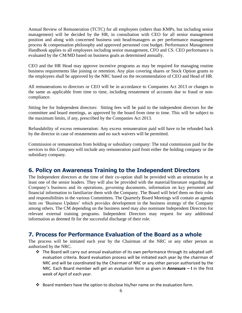Annual Review of Remuneration (TCTC) for all employees (others than KMPs, but including senior management) will be decided by the HR, in consultation with CEO for all senior management position and along with concerned business unit head/managers as per performance management process & compensation philosophy and approved personnel cost budget. Performance Management Handbook applies to all employees including senior management, CFO and CS. CEO performance is evaluated by the CM/MD based on business goals as determined annually.

CEO and the HR Head may approve incentive programs as may be required for managing routine business requirements like joining or retention. Any plan covering shares or Stock Option grants to the employees shall be approved by the NRC based on the recommendation of CEO and Head of HR.

All remunerations to directors or CEO will be in accordance to Companies Act 2013 or changes to the same as applicable from time to time, including restatement of accounts due to fraud or noncompliance.

Sitting fee for Independent directors: Sitting fees will be paid to the independent directors for the committee and board meetings, as approved by the board from time to time. This will be subject to the maximum limits, if any, prescribed by the Companies Act 2013.

Refundability of excess remuneration: Any excess remuneration paid will have to be refunded back by the director in case of restatements and no such waivers will be permitted.

Commission or remuneration from holding or subsidiary company: The total commission paid for the services to this Company will include any remuneration paid from either the holding company or the subsidiary company.

# <span id="page-5-0"></span>**6. Policy on Awareness Training to the Independent Directors**

The Independent directors at the time of their co-option shall be provided with an orientation by at least one of the senior leaders. They will also be provided with the material/literature regarding the Company's business and its operations, governing documents, information on key personnel and financial information to familiarize them with the Company. The Board will brief them on their roles and responsibilities in the various Committees. The Quarterly Board Meetings will contain an agenda item on 'Business Updates' which provides development in the business strategy of the Company among others. The CM depending on the business need may also nominate Independent Directors for relevant external training programs. Independent Directors may request for any additional information as deemed fit for the successful discharge of their role.

# <span id="page-5-1"></span>**7. Process for Performance Evaluation of the Board as a whole**

The process will be initiated each year by the Chairman of the NRC or any other person as authorized by the NRC.

- \* The Board will carry out annual evaluation of its own performance through its adopted selfevaluation criteria. Board evaluation process will be initiated each year by the chairman of NRC and will be coordinated by the Chairman of NRC or any other person authorized by the NRC. Each Board member will get an evaluation form as given in **Annexure – I** in the first week of April of each year.
- Board members have the option to disclose his/her name on the evaluation form.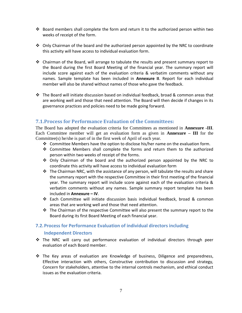- $\cdot \cdot$  Board members shall complete the form and return it to the authorized person within two weeks of receipt of the form.
- $\div$  Only Chairman of the board and the authorized person appointed by the NRC to coordinate this activity will have access to individual evaluation form.
- $\div$  Chairman of the Board, will arrange to tabulate the results and present summary report to the Board during the first Board Meeting of the financial year. The summary report will include score against each of the evaluation criteria & verbatim comments without any names. Sample template has been included in **Annexure II**. Report for each individual member will also be shared without names of those who gave the feedback.
- $\cdot \cdot$  The Board will initiate discussion based on individual feedback, broad & common areas that are working well and those that need attention. The Board will then decide if changes in its governance practices and policies need to be made going forward.

# <span id="page-6-0"></span>**7.1.Process for Performance Evaluation of the Committees:**

The Board has adopted the evaluation criteria for Committees as mentioned in **Annexure -III**. Each Committee member will get an evaluation form as given in **Annexure – III** for the Committee(s) he/she is part of in the first week of April of each year.

- $\div$  Committee Members have the option to disclose his/her name on the evaluation form.
- Committee Members shall complete the forms and return them to the authorized person within two weeks of receipt of the forms.
- $\div$  Only Chairman of the board and the authorized person appointed by the NRC to coordinate this activity will have access to individual evaluation form
- $\cdot \cdot$  The Chairman NRC, with the assistance of any person, will tabulate the results and share the summary report with the respective Committee in their first meeting of the financial year. The summary report will include score against each of the evaluation criteria & verbatim comments without any names. Sample summary report template has been included in **Annexure – IV**.
- Each Committee will initiate discussion basis individual feedback, broad & common areas that are working well and those that need attention.
- $\div$  The Chairman of the respective Committee will also present the summary report to the Board during its first Board Meeting of each financial year.

## <span id="page-6-1"></span>**7.2.Process for Performance Evaluation of individual directors including**

#### **Independent Directors**

- The NRC will carry out performance evaluation of individual directors through peer evaluation of each Board member.
- $\div$  The Key areas of evaluation are Knowledge of business, Diligence and preparedness, Effective interaction with others, Constructive contribution to discussion and strategy, Concern for stakeholders, attentive to the internal controls mechanism, and ethical conduct issues as the evaluation criteria.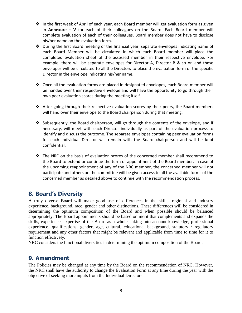- ❖ In the first week of April of each year, each Board member will get evaluation form as given in **Annexure – V** for each of their colleagues on the Board. Each Board member will complete evaluation of each of their colleagues. Board member does not have to disclose his/her name on the evaluation form.
- $\cdot \cdot$  During the first Board meeting of the financial year, separate envelopes indicating name of each Board Member will be circulated in which each Board member will place the completed evaluation sheet of the assessed member in their respective envelope. For example, there will be separate envelopes for Director A, Director B & so on and these envelopes will be circulated to all the Directors to place the evaluation form of the specific Director in the envelope indicating his/her name.
- Once all the evaluation forms are placed in designated envelopes, each Board member will be handed over their respective envelope and will have the opportunity to go through their own peer evaluation scores during the meeting itself.
- $\cdot \cdot$  After going through their respective evaluation scores by their peers, the Board members will hand over their envelope to the Board chairperson during that meeting.
- $\div$  Subsequently, the Board chairperson, will go through the contents of the envelope, and if necessary, will meet with each Director individually as part of the evaluation process to identify and discuss the outcome. The separate envelopes containing peer evaluation forms for each individual Director will remain with the Board chairperson and will be kept confidential.
- $\div$  The NRC on the basis of evaluation scores of the concerned member shall recommend to the Board to extend or continue the term of appointment of the Board member. In case of the upcoming reappointment of any of the NRC member, the concerned member will not participate and others on the committee will be given access to all the available forms of the concerned member as detailed above to continue with the recommendation process.

# <span id="page-7-0"></span>**8. Board's Diversity**

A truly diverse Board will make good use of differences in the skills, regional and industry experience, background, race, gender and other distinctions. These differences will be considered in determining the optimum composition of the Board and when possible should be balanced appropriately. The Board appointments should be based on merit that complements and expands the skills, experience, expertise of the Board as a whole, taking into account knowledge, professional experience, qualifications, gender, age, cultural, educational background, statutory / regulatory requirement and any other factors that might be relevant and applicable from time to time for it to function effectively.

<span id="page-7-1"></span>NRC considers the functional diversities in determining the optimum composition of the Board.

# **9. Amendment**

The Policies may be changed at any time by the Board on the recommendation of NRC. However, the NRC shall have the authority to change the Evaluation Form at any time during the year with the objective of seeking more inputs from the Individual Directors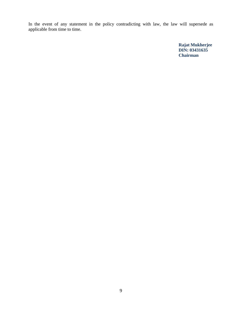In the event of any statement in the policy contradicting with law, the law will supersede as applicable from time to time.

> **Rajat Mukherjee DIN: [03431635](http://www.mca.gov.in/mcafoportal/companyLLPMasterData.do) Chairman**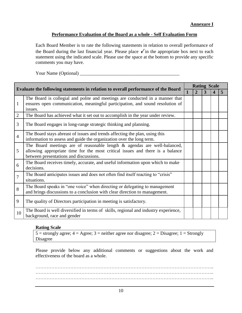## **Performance Evaluation of the Board as a whole - Self Evaluation Form**

Each Board Member is to rate the following statements in relation to overall performance of the Board during the last financial year. Please place  $\checkmark$  in the appropriate box next to each statement using the indicated scale. Please use the space at the bottom to provide any specific comments you may have.

Your Name (Optional) \_\_\_\_\_\_\_\_\_\_\_\_\_\_\_\_\_\_\_\_\_\_\_\_\_\_\_\_\_\_\_\_\_\_\_\_\_\_\_\_\_\_

|                |                                                                                                                                                                                                     |              |   | <b>Rating Scale</b> |  |   |  |  |  |  |
|----------------|-----------------------------------------------------------------------------------------------------------------------------------------------------------------------------------------------------|--------------|---|---------------------|--|---|--|--|--|--|
|                | <b>Evaluate the following statements in relation to overall performance of the Board</b>                                                                                                            | $\mathbf{1}$ | 2 | 3                   |  | 5 |  |  |  |  |
| $\mathbf{1}$   | The Board is collegial and polite and meetings are conducted in a manner that<br>ensures open communication, meaningful participation, and sound resolution of<br>issues.                           |              |   |                     |  |   |  |  |  |  |
| $\mathfrak{2}$ | The Board has achieved what it set out to accomplish in the year under review.                                                                                                                      |              |   |                     |  |   |  |  |  |  |
| 3              | The Board engages in long-range strategic thinking and planning.                                                                                                                                    |              |   |                     |  |   |  |  |  |  |
| $\overline{4}$ | The Board stays abreast of issues and trends affecting the plan, using this<br>information to assess and guide the organization over the long term.                                                 |              |   |                     |  |   |  |  |  |  |
| 5              | The Board meetings are of reasonable length & agendas are well-balanced,<br>allowing appropriate time for the most critical issues and there is a balance<br>between presentations and discussions. |              |   |                     |  |   |  |  |  |  |
| 6              | The Board receives timely, accurate, and useful information upon which to make<br>decisions.                                                                                                        |              |   |                     |  |   |  |  |  |  |
| 7              | The Board anticipates issues and does not often find itself reacting to "crisis"<br>situations.                                                                                                     |              |   |                     |  |   |  |  |  |  |
| 8              | The Board speaks in "one voice" when directing or delegating to management<br>and brings discussions to a conclusion with clear direction to management.                                            |              |   |                     |  |   |  |  |  |  |
| 9              | The quality of Directors participation in meeting is satisfactory.                                                                                                                                  |              |   |                     |  |   |  |  |  |  |
| 10             | The Board is well diversified in terms of skills, regional and industry experience,<br>background, race and gender                                                                                  |              |   |                     |  |   |  |  |  |  |

## **Rating Scale**

 $5 =$  strongly agree;  $4 =$  Agree;  $3 =$  neither agree nor disagree;  $2 =$  Disagree;  $1 =$  Strongly Disagree

Please provide below any additional comments or suggestions about the work and effectiveness of the board as a whole.

………………………………………………………………………………………………….. ………………………………………………………………………………………………….. …………………………………………………………………………………………………..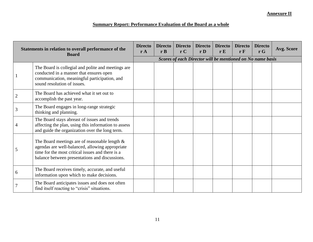## **Summary Report: Performance Evaluation of the Board as a whole**

| Statements in relation to overall performance of the<br><b>Board</b> |                                                                                                                                                                                                           | <b>Directo</b><br>rA                                       | <b>Directo</b><br>rB | <b>Directo</b><br>rC | <b>Directo</b><br>r <sub>D</sub> | <b>Directo</b><br>rE | Directo<br>$r \, \mathrm{F}$ | <b>Directo</b><br>$\mathbf{r} \mathbf{G}$ | Avg. Score |  |  |
|----------------------------------------------------------------------|-----------------------------------------------------------------------------------------------------------------------------------------------------------------------------------------------------------|------------------------------------------------------------|----------------------|----------------------|----------------------------------|----------------------|------------------------------|-------------------------------------------|------------|--|--|
|                                                                      |                                                                                                                                                                                                           | Scores of each Director will be mentioned on No name basis |                      |                      |                                  |                      |                              |                                           |            |  |  |
| $\mathbf{1}$                                                         | The Board is collegial and polite and meetings are<br>conducted in a manner that ensures open<br>communication, meaningful participation, and<br>sound resolution of issues.                              |                                                            |                      |                      |                                  |                      |                              |                                           |            |  |  |
| $\overline{2}$                                                       | The Board has achieved what it set out to<br>accomplish the past year.                                                                                                                                    |                                                            |                      |                      |                                  |                      |                              |                                           |            |  |  |
| 3                                                                    | The Board engages in long-range strategic<br>thinking and planning.                                                                                                                                       |                                                            |                      |                      |                                  |                      |                              |                                           |            |  |  |
| $\overline{4}$                                                       | The Board stays abreast of issues and trends<br>affecting the plan, using this information to assess<br>and guide the organization over the long term.                                                    |                                                            |                      |                      |                                  |                      |                              |                                           |            |  |  |
| 5                                                                    | The Board meetings are of reasonable length $\&$<br>agendas are well-balanced, allowing appropriate<br>time for the most critical issues and there is a<br>balance between presentations and discussions. |                                                            |                      |                      |                                  |                      |                              |                                           |            |  |  |
| 6                                                                    | The Board receives timely, accurate, and useful<br>information upon which to make decisions.                                                                                                              |                                                            |                      |                      |                                  |                      |                              |                                           |            |  |  |
| $\overline{7}$                                                       | The Board anticipates issues and does not often<br>find itself reacting to "crisis" situations.                                                                                                           |                                                            |                      |                      |                                  |                      |                              |                                           |            |  |  |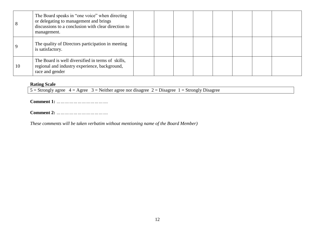| 8  | The Board speaks in "one voice" when directing<br>or delegating to management and brings<br>discussions to a conclusion with clear direction to<br>management. |  |  |  |  |
|----|----------------------------------------------------------------------------------------------------------------------------------------------------------------|--|--|--|--|
|    | The quality of Directors participation in meeting<br>is satisfactory.                                                                                          |  |  |  |  |
| 10 | The Board is well diversified in terms of skills,<br>regional and industry experience, background,<br>race and gender                                          |  |  |  |  |

#### **Rating Scale**

 $5 =$  Strongly agree  $4 =$  Agree  $3 =$  Neither agree nor disagree  $2 =$  Disagree 1 = Strongly Disagree

**Comment 1:** *……………………………….*

**Comment 2:** *……………………………….* 

*These comments will be taken verbatim without mentioning name of the Board Member)*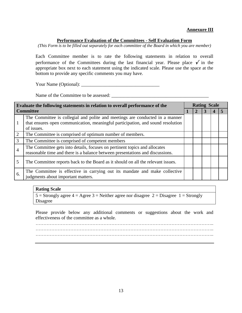#### **Annexure III**

#### **Performance Evaluation of the Committees - Self Evaluation Form**

*(This Form is to be filled out separately for each committee of the Board in which you are member)*

Each Committee member is to rate the following statements in relation to overall performance of the Committees during the last financial year. Please place  $\check{\mathcal{V}}$  in the appropriate box next to each statement using the indicated scale. Please use the space at the bottom to provide any specific comments you may have.

Your Name (Optional): \_\_\_\_\_\_\_\_\_\_\_\_\_\_\_\_\_\_\_\_\_\_\_\_\_\_\_\_\_\_\_\_\_

Name of the Committee to be assessed: \_\_\_\_\_\_\_\_\_\_\_\_\_\_\_\_\_\_\_\_\_\_\_\_\_\_\_\_\_\_\_\_\_\_\_\_\_\_\_\_\_

| Evaluate the following statements in relation to overall performance of the |                                                                                                                                                                               |  |  | <b>Rating Scale</b> |  |  |  |  |  |
|-----------------------------------------------------------------------------|-------------------------------------------------------------------------------------------------------------------------------------------------------------------------------|--|--|---------------------|--|--|--|--|--|
|                                                                             | <b>Committee</b>                                                                                                                                                              |  |  |                     |  |  |  |  |  |
|                                                                             | The Committee is collegial and polite and meetings are conducted in a manner<br>that ensures open communication, meaningful participation, and sound resolution<br>of issues. |  |  |                     |  |  |  |  |  |
| 2                                                                           | The Committee is comprised of optimum number of members.                                                                                                                      |  |  |                     |  |  |  |  |  |
| 3                                                                           | The Committee is comprised of competent members                                                                                                                               |  |  |                     |  |  |  |  |  |
| 4                                                                           | The Committee gets into details, focuses on pertinent topics and allocates<br>reasonable time and there is a balance between presentations and discussions.                   |  |  |                     |  |  |  |  |  |
| 5                                                                           | The Committee reports back to the Board as it should on all the relevant issues.                                                                                              |  |  |                     |  |  |  |  |  |
| 6.                                                                          | The Committee is effective in carrying out its mandate and make collective<br>judgments about important matters.                                                              |  |  |                     |  |  |  |  |  |

#### **Rating Scale**

5 = Strongly agree  $4 = \text{Agree } 3 = \text{Neither agree}$  nor disagree  $2 = \text{Disagree } 1 = \text{Strongly}$ Disagree

Please provide below any additional comments or suggestions about the work and effectiveness of the committee as a whole.

………………………………………………………………………………………………….. ………………………………………………………………………………………………….. …………………………………………………………………………………………………..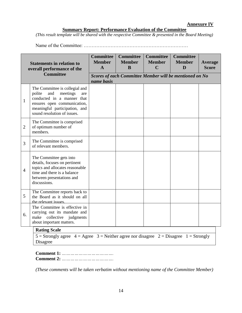#### **Summary Report: Performance Evaluation of the Committee**

*(This result template will be shared with the respective Committee & presented in the Board Meeting)*

Name of the Committee: …………………………………………………………

|                | <b>Statements in relation to</b><br>overall performance of the                                                                                                                                  | <b>Committee</b><br><b>Member</b><br>$\mathbf{A}$ | <b>Committee</b><br><b>Member</b><br>B                  | <b>Committee</b><br><b>Member</b><br>$\mathbf C$ | <b>Committee</b><br><b>Member</b><br>D | Average<br><b>Score</b> |  |  |  |  |  |
|----------------|-------------------------------------------------------------------------------------------------------------------------------------------------------------------------------------------------|---------------------------------------------------|---------------------------------------------------------|--------------------------------------------------|----------------------------------------|-------------------------|--|--|--|--|--|
|                | <b>Committee</b>                                                                                                                                                                                | name basis                                        | Scores of each Committee Member will be mentioned on No |                                                  |                                        |                         |  |  |  |  |  |
| $\mathbf{1}$   | The Committee is collegial and<br>meetings<br>polite<br>and<br>are<br>conducted in a manner that<br>ensures open communication,<br>meaningful participation, and<br>sound resolution of issues. |                                                   |                                                         |                                                  |                                        |                         |  |  |  |  |  |
| $\overline{2}$ | The Committee is comprised<br>of optimum number of<br>members.                                                                                                                                  |                                                   |                                                         |                                                  |                                        |                         |  |  |  |  |  |
| 3              | The Committee is comprised<br>of relevant members.                                                                                                                                              |                                                   |                                                         |                                                  |                                        |                         |  |  |  |  |  |
| $\overline{4}$ | The Committee gets into<br>details, focuses on pertinent<br>topics and allocates reasonable<br>time and there is a balance<br>between presentations and<br>discussions.                         |                                                   |                                                         |                                                  |                                        |                         |  |  |  |  |  |
| 5              | The Committee reports back to<br>the Board as it should on all<br>the relevant issues                                                                                                           |                                                   |                                                         |                                                  |                                        |                         |  |  |  |  |  |
| 6.             | The Committee is effective in<br>carrying out its mandate and<br>make collective<br>judgments<br>about important matters.                                                                       |                                                   |                                                         |                                                  |                                        |                         |  |  |  |  |  |
|                | <b>Rating Scale</b>                                                                                                                                                                             |                                                   |                                                         |                                                  |                                        |                         |  |  |  |  |  |

5 = Strongly agree  $4 = \text{Agree}$  3 = Neither agree nor disagree  $2 = \text{Disagree}$  1 = Strongly Disagree

**Comment 1:** *……………………………….* **Comment 2:** *……………………………….* 

*(These comments will be taken verbatim without mentioning name of the Committee Member)*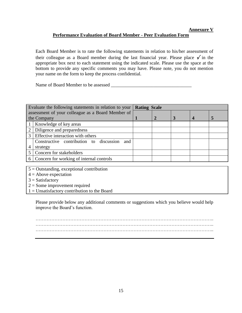## **Performance Evaluation of Board Member - Peer Evaluation Form**

Each Board Member is to rate the following statements in relation to his/her assessment of their colleague as a Board member during the last financial year. Please place  $\check{\mathcal{V}}$  in the appropriate box next to each statement using the indicated scale. Please use the space at the bottom to provide any specific comments you may have. Please note, you do not mention your name on the form to keep the process confidential.

Name of Board Member to be assessed

|   | Evaluate the following statements in relation to your | <b>Rating Scale</b> |  |        |  |  |
|---|-------------------------------------------------------|---------------------|--|--------|--|--|
|   | assessment of your colleague as a Board Member of     |                     |  |        |  |  |
|   | the Company                                           |                     |  | 3<br>5 |  |  |
|   | Knowledge of key areas                                |                     |  |        |  |  |
| 2 | Diligence and preparedness                            |                     |  |        |  |  |
| 3 | Effective interaction with others                     |                     |  |        |  |  |
|   | Constructive contribution to discussion<br>and        |                     |  |        |  |  |
| 4 | strategy                                              |                     |  |        |  |  |
|   | Concern for stakeholders                              |                     |  |        |  |  |
|   | Concern for working of internal controls              |                     |  |        |  |  |
|   |                                                       |                     |  |        |  |  |

5 = Outstanding, exceptional contribution

 $4 =$  Above expectation

 $3 =$ Satisfactory

 $2 =$  Some improvement required

 $1 =$  Unsatisfactory contribution to the Board

Please provide below any additional comments or suggestions which you believe would help improve the Board's function.

………………………………………………………………………………………………….. …………………………………………………………………………………………………..